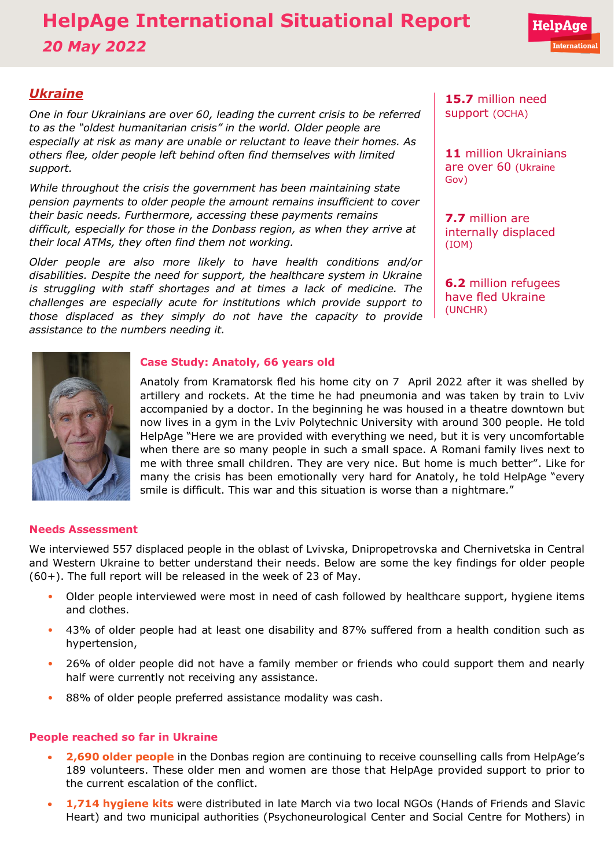# **HelpAge International Situational Report** *20 May 2022*

# *Ukraine*

*One in four Ukrainians are over 60, leading the current crisis to be referred to as the "[oldest humanitarian crisis](https://www.age-platform.eu/special-briefing/ukraine-%E2%80%98oldest%E2%80%99-humanitarian-crisis-world)" in the world. Older people are especially at risk as many are unable or reluctant to leave their homes. As others flee, older people left behind often find themselves with limited support.*

*While throughout the crisis the government has been maintaining state pension payments to older people the amount remains insufficient to cover their basic needs. Furthermore, accessing these payments remains difficult, especially for those in the Donbass region, as when they arrive at their local ATMs, they often find them not working.*

*Older people are also more likely to have health conditions and/or disabilities. Despite the need for support, the healthcare system in Ukraine is struggling with staff shortages and at times a lack of medicine. The challenges are especially acute for institutions which provide support to those displaced as they simply do not have the capacity to provide assistance to the numbers needing it.* 

**15.7** million need support [\(OCHA\)](https://reliefweb.int/sites/reliefweb.int/files/resources/Ukraine%20Flash%20Appeal%202022%20April%20Revision_EN_v1.0.pdf)

**11** million Ukrainians are over 60 [\(Ukraine](http://database.ukrcensus.gov.ua/PXWEB2007/ukr/publ_new1/2021/dem_2020.pdf) [Gov\)](http://database.ukrcensus.gov.ua/PXWEB2007/ukr/publ_new1/2021/dem_2020.pdf)

**7.7** million are internally displaced [\(IOM\)](https://www.impact-repository.org/document/reach/7a10aa5a/Inter_Agency_Ukraine_IDP_Situation_Overview_20April2022.pdf)

**6.2** million refugees have fled Ukraine [\(UNCHR\)](https://data2.unhcr.org/en/situations/ukraine)



# **Case Study: Anatoly, 66 years old**

Anatoly from Kramatorsk fled his home city on 7 April 2022 after it was shelled by artillery and rockets. At the time he had pneumonia and was taken by train to Lviv accompanied by a doctor. In the beginning he was housed in a theatre downtown but now lives in a gym in the Lviv Polytechnic University with around 300 people. He told HelpAge "Here we are provided with everything we need, but it is very uncomfortable when there are so many people in such a small space. A Romani family lives next to me with three small children. They are very nice. But home is much better". Like for many the crisis has been emotionally very hard for Anatoly, he told HelpAge "every smile is difficult. This war and this situation is worse than a nightmare."

### **Needs Assessment**

We interviewed 557 displaced people in the oblast of Lvivska, Dnipropetrovska and Chernivetska in Central and Western Ukraine to better understand their needs. Below are some the key findings for older people (60+). The full report will be released in the week of 23 of May.

- Older people interviewed were most in need of cash followed by healthcare support, hygiene items and clothes.
- 43% of older people had at least one disability and 87% suffered from a health condition such as hypertension,
- 26% of older people did not have a family member or friends who could support them and nearly half were currently not receiving any assistance.
- 88% of older people preferred assistance modality was cash.

# **People reached so far in Ukraine**

- **2,690 older people** in the Donbas region are continuing to receive counselling calls from HelpAge's 189 volunteers. These older men and women are those that HelpAge provided support to prior to the current escalation of the conflict.
- **1,714 hygiene kits** were distributed in late March via two local NGOs (Hands of Friends and Slavic Heart) and two municipal authorities (Psychoneurological Center and Social Centre for Mothers) in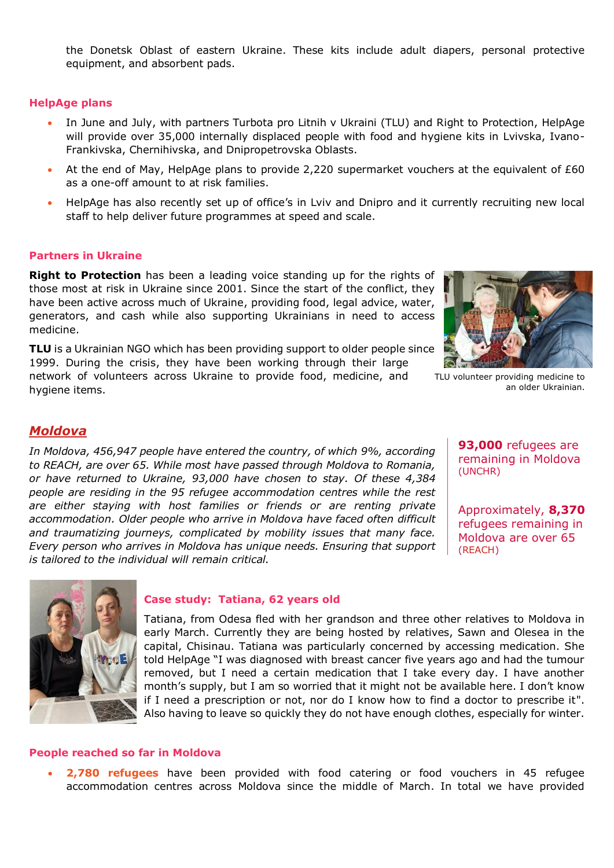the Donetsk Oblast of eastern Ukraine. These kits include adult diapers, personal protective equipment, and absorbent pads.

#### **HelpAge plans**

- In June and July, with partners Turbota pro Litnih v Ukraini (TLU) and Right to Protection, HelpAge will provide over 35,000 internally displaced people with food and hygiene kits in Lvivska, Ivano-Frankivska, Chernihivska, and Dnipropetrovska Oblasts.
- At the end of May, HelpAge plans to provide 2,220 supermarket vouchers at the equivalent of £60 as a one-off amount to at risk families.
- HelpAge has also recently set up of office's in Lviv and Dnipro and it currently recruiting new local staff to help deliver future programmes at speed and scale.

#### **Partners in Ukraine**

**[Right to Protection](https://r2p.org.ua/)** has been a leading voice standing up for the rights of those most at risk in Ukraine since 2001. Since the start of the conflict, they have been active across much of Ukraine, providing food, legal advice, water, generators, and cash while also supporting Ukrainians in need to access medicine.

**[TLU](http://www.tlu.org.ua/)** is a Ukrainian NGO which has been providing support to older people since 1999. During the crisis, they have been working through their large network of volunteers across Ukraine to provide food, medicine, and hygiene items.



TLU volunteer providing medicine to an older Ukrainian.

#### *Moldova*

*In Moldova, [456,947](https://data2.unhcr.org/en/documents/details/92774) people have entered the country, of which [9%,](https://data2.unhcr.org/en/documents/details/92088) according to [REACH,](https://data2.unhcr.org/en/documents/details/92429) are over 65. While most have passed through Moldova to Romania, or have returned to Ukraine, [93,000](https://data2.unhcr.org/en/documents/details/92774) have chosen to stay. Of these [4,384](https://www.impact-repository.org/document/reach/9a15586a/REACH_MDA_Factsheet_RAC-Weekly-Needs-Monitoring_2022-04-27_EN.pdf)  people are residing in the 95 refugee accommodation centres while the rest are either staying with host families or friends or are renting private accommodation. Older people who arrive in Moldova have faced often difficult and traumatizing journeys, complicated by mobility issues that many face. Every person who arrives in Moldova has unique needs. Ensuring that support is tailored to the individual will remain critical.* 

**93,000** refugees are remaining in Moldova [\(UNCHR\)](https://data2.unhcr.org/en/documents/details/92774)

Approximately, **8,370** refugees remaining in Moldova are over 65 [\(REACH\)](https://data2.unhcr.org/en/documents/details/92429)



#### **Case study: Tatiana, 62 years old**

Tatiana, from Odesa fled with her grandson and three other relatives to Moldova in early March. Currently they are being hosted by relatives, Sawn and Olesea in the capital, Chisinau. Tatiana was particularly concerned by accessing medication. She told HelpAge "I was diagnosed with breast cancer five years ago and had the tumour removed, but I need a certain medication that I take every day. I have another month's supply, but I am so worried that it might not be available here. I don't know if I need a prescription or not, nor do I know how to find a doctor to prescribe it". Also having to leave so quickly they do not have enough clothes, especially for winter.

#### **People reached so far in Moldova**

• **2,780 refugees** have been provided with food catering or food vouchers in 45 refugee accommodation centres across Moldova since the middle of March. In total we have provided